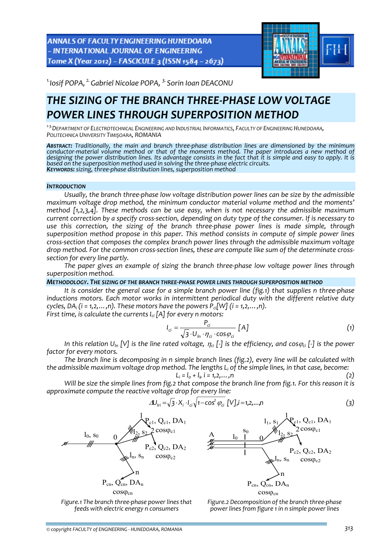**ANNALS OF FACULTY ENGINEERING HUNEDOARA** - INTERNATIONAL JOURNAL OF ENGINEERING Tome X (Year 2012) - FASCICULE 3 (ISSN 1584 - 2673)



*1.Iosif POPA, 2.Gabriel Nicolae POPA, 3. Sorin Ioan DEACONU* 

# *THE SIZING OF THE BRANCH THREE‐PHASE LOW VOLTAGE POWER LINES THROUGH SUPERPOSITION METHOD*

*<sup>1</sup>‐3.DEPARTMENT OF ELECTROTECHNICAL ENGINEERING AND INDUSTRIAL INFORMATICS, FACULTY OF ENGINEERING HUNEDOARA, POLITECHNICA UNIVERSITY TIMIŞOARA, ROMANIA*

*ABSTRACT: Traditionally, the main and branch three‐phase distribution lines are dimensioned by the minimum* conductor-material volume method or that of the moments method. The paper introduces a new method of designing the power distribution lines. Its advantage consists in the fact that it is simple and easy to apply. It is based on the superposition method used in solving the three-phase electric circuits.<br>KEYWORDS: sizing, three-phase distribution lines, superposition method

#### *INTRODUCTION*

*Usually, the branch three‐phase low voltage distribution power lines can be size by the admissible maximum voltage drop method, the minimum conductor material volume method and the moments' method [1,2,3,4]. These methods can be use easy, when is not necessary the admissible maximum* current correction by a specify cross-section, depending on duty type of the consumer. If is necessary to *use this correction, the sizing of the branch three‐phase power lines is made simple, through superposition method propose in this paper. This method consists in compute of simple power lines cross‐section that composes the complex branch power lines through the admissible maximum voltage* drop method. For the common cross-section lines, these are compute like sum of the determinate cross*section for every line partly.*

*The paper gives an example of sizing the branch three‐phase low voltage power lines through superposition method.*

## *METHODOLOGY. THE SIZING OF THE BRANCH THREE‐PHASE POWER LINES THROUGH SUPERPOSITION METHOD*

It is consider the general case for a simple branch power line (fig.1) that supplies n three-phase *inductions motors. Each motor works in intermittent periodical duty with the different relative duty cycles,*  $DA_i$  *(i* = 1,2,...,n). These motors have the powers  $P_{ci}[W]$  (*i* = 1,2,...,n). *First time, is calculate the currents Ici [A] for every n motors:*

$$
I_{ci} = \frac{P_{ci}}{\sqrt{3} \cdot U_{in} \cdot \eta_{ci} \cdot \cos \varphi_{ci}} [A]
$$
 (1)

In this relation  $U_{in}[V]$  is the line rated voltage,  $\eta_{ci}$  [-] is the efficiency, and cos $\varphi_{ci}$  [-] is the power *factor for every motors.*

*The branch line is decomposing in n simple branch lines (fig.2), every line will be calculated with the admissible maximum voltage drop method. The lengths Li of the simple lines, in that case, become:*

$$
L_i = l_0 + l_i, \ i = 1, 2, \dots, n \tag{2}
$$

Will be size the simple lines from fig.2 that compose the branch line from fig.1. For this reason it is *approximate compute the reactive voltage drop for every line:*

$$
\Delta U_{1ri} = \sqrt{3} \cdot X_i \cdot I_{ci} \sqrt{1 - \cos^2 \varphi_{ci}} [V], i = 1, 2, ..., n
$$
 (3)





*Figure.1 The branch three‐phase power lines that feeds with electric energy n consumers*

*Figure.2 Decomposition of the branch three‐phase power lines from figure 1 in n simple power lines*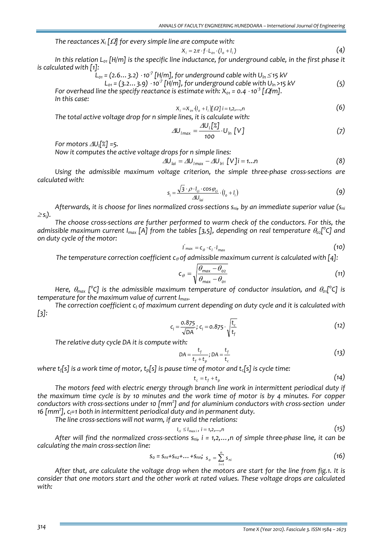*The reactances Xi [*Ω*] for every simple line are compute with:*

$$
X_i = 2\pi \cdot f \cdot L_{\text{ot}} \cdot (l_{\text{o}} + l_i) \tag{4}
$$

In this relation  $L_{01}$  [H/m] is the specific line inductance, for underground cable, in the first phase it *is calculated with [1]:*

$$
L_{01} = (2.6...3.2) \cdot 10^7 \text{ [H/m]}, \text{ for underground cable with } U_{\text{ln}} \le 15 \text{ kV}
$$

$$
L_{01} = (3.2...3.9) \cdot 10^{-7} \text{ [H/m]}, \text{ for underground cable with } U_{1n} > 15 \text{ kV} \tag{5}
$$

*For overhead line the specify reactance is estimate with:*  $X_{01} = 0.4 \cdot 10^{-3}$   $\lceil \Omega/m \rceil$ . *In this case:*

$$
X_i = X_{oi} \cdot (I_o + I_i) [\Omega] i = 1, 2, \dots, n
$$

*The total active voltage drop for n simple lines, it is calculate with:*

$$
\Delta U_{1max} = \frac{\Delta U_1[\mathcal{Z}]}{100} \cdot U_{1n} [V]
$$
 (7)

*For motors* <sup>Δ</sup>*Ul[%] =5.*

*Now it computes the active voltage drops for n simple lines:*

$$
\Delta U_{\text{lai}} = \Delta U_{\text{Imax}} - \Delta U_{\text{lri}} \left[ V \right] i = 1...n \tag{8}
$$

*Using the admissible maximum voltage criterion, the simple three‐phase cross‐sections are calculated with:*

$$
s_i = \frac{\sqrt{3} \cdot \rho \cdot I_{ci} \cdot \cos \varphi_{ci}}{\Delta U_{lai}} \cdot (I_o + I_i)
$$
 (9)

*Afterwards, it is choose for lines normalized cross‐sections sni, by an immediate superior value (sni* <sup>≥</sup> *si).*

*The choose cross‐sections are further performed to warm check of the conductors. For this, the admissible maximum current Imax [A] from the tables [3,5], depending on real temperature* <sup>θ</sup>*02[ 0 C] and on duty cycle of the motor:*

$$
I'_{max} = C_{\theta} \cdot C_1 \cdot I_{max} \tag{10}
$$

*The temperature correction coefficient*  $c_{\theta}$  *of admissible maximum current is calculated with*  $[4]$ :

$$
c_{\theta} = \sqrt{\frac{\theta_{\text{max}} - \theta_{\text{o2}}}{\theta_{\text{max}} - \theta_{\text{o1}}}}
$$
(11)

*Here,*  $\theta_{\text{max}}$  *[* $^{\circ}$ *C] is the admissible maximum temperature of conductor insulation, and*  $\theta_{\text{o1}}$ *[* $^{\circ}$ *C] is temperature for the maximum value of current Imax.*

*The correction coefficient cl of maximum current depending on duty cycle and it is calculated with [3]:*

$$
c_1 = \frac{0.875}{\sqrt{DA}}; c_1 = 0.875 \cdot \sqrt{\frac{t_c}{t_f}}
$$
 (12)

*The relative duty cycle DA it is compute with:*

$$
DA = \frac{t_f}{t_f + t_p}; DA = \frac{t_f}{t_c}
$$
 (13)

*where*  $t_f[s]$  *is a work time of motor,*  $t_p[s]$  *is pause time of motor and*  $t_c[s]$  *is cycle time:* 

$$
t_c = t_f + t_p \tag{14}
$$

*The motors feed with electric energy through branch line work in intermittent periodical duty if* the maximum time cycle is by 10 minutes and the work time of motor is by 4 minutes. For copper conductors with cross-sections under 10  $\text{[mm$^2$]}$  and for aluminium conductors with cross-section under *16 [mm2 ], cl=1 both in intermittent periodical duty and in permanent duty.*

*The line cross‐sections will not warm, if are valid the relations:*

$$
I_{ci} \leq I_{maxi}, i = 1,2,...,n
$$
\n
$$
(15)
$$

After will find the normalized cross-sections  $s_{ni}$ ,  $i = 1, 2, ..., n$  of simple three-phase line, it can be *calculating the main cross‐section line:*

$$
S_0 = S_{n1} + S_{n2} + \dots + S_{nnj} \quad S_0 = \sum_{i=1}^n S_{ni} \tag{16}
$$

After that, are calculate the voltage drop when the motors are start for the line from fig.1. It is *consider that one motors start and the other work at rated values. These voltage drops are calculated with:*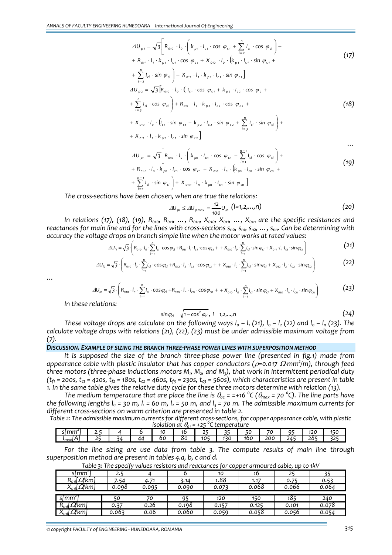$$
\Delta U_{p1} = \sqrt{3} \left[ R_{010} \cdot I_0 \cdot \left( k_{p1} \cdot I_{c1} \cdot \cos \varphi_{c1} + \sum_{i=2}^{n} I_{ci} \cdot \cos \varphi_{ci} \right) +
$$
  
+  $R_{011} \cdot I_1 \cdot k_{p1} \cdot I_{c1} \cdot \cos \varphi_{c1} + X_{010} \cdot I_0 \cdot \left( k_{p1} \cdot I_{c1} \cdot \sin \varphi_{c1} +$   
+  $\sum_{i=2}^{n} I_{ci} \cdot \sin \varphi_{ci} \right) + X_{011} \cdot I_1 \cdot k_{p1} \cdot I_{c1} \cdot \sin \varphi_{c1}$   

$$
\Delta U_{p2} = \sqrt{3} \left[ R_{010} \cdot I_0 \cdot \left( I_{c1} \cdot \cos \varphi_{c1} + k_{p2} \cdot I_{c2} \cdot \cos \varphi_c +
$$
  
+  $\sum_{i=3}^{n} I_{ci} \cdot \cos \varphi_{ci} \right) + R_{012} \cdot I_2 \cdot k_{p2} \cdot I_{c2} \cdot \cos \varphi_{c2} +$   
+  $X_{010} \cdot I_0 \cdot \left( I_{c1} \cdot \sin \varphi_{c1} + k_{p2} \cdot I_{c2} \cdot \sin \varphi_{c2} + \sum_{i=3}^{n} I_{ci} \cdot \sin \varphi_{ci} \right) +$   
+  $X_{012} \cdot I_2 \cdot k_{p2} \cdot I_{c2} \cdot \sin \varphi_{c2}$  (18)

$$
\Delta U_{pn} = \sqrt{3} \left[ R_{\text{on}} \cdot I_{o} \cdot \left( k_{pn} \cdot I_{cn} \cdot \cos \varphi_{cn} + \sum_{i=1}^{n-1} I_{ci} \cdot \cos \varphi_{ci} \right) + \tag{19}
$$

$$
+ R_{\text{on}} \cdot I_n \cdot \overline{k}_{\text{pn}} \cdot I_{\text{cn}} \cdot \cos \varphi_{\text{cn}} + X_{\text{on}} \cdot I_0 \cdot (\overline{k}_{\text{pn}} \cdot I_{\text{cn}} \cdot \sin \varphi_{\text{cn}} + \overline{k}_{\text{on}})
$$

$$
+\sum_{i=1}^{n-1} I_{ci} \cdot \sin \varphi_{ci} + X_{on} \cdot I_n \cdot k_{pn} \cdot I_{cn} \cdot \sin \varphi_{cn}
$$

*The cross‐sections have been chosen, when are true the relations:*

$$
\Delta U_{pi} \le \Delta U_{pmax} = \frac{12}{100} U_{ln} (i=1,2,...,n)
$$
 (20)

In relations (17), (18), (19),  $R_{\text{010}}$ ,  $R_{\text{011}}$ , ...,  $R_{\text{010}}$ ,  $X_{\text{010}}$ ,  $X_{\text{011}}$ , ...,  $X_{\text{010}}$  are the specific resistances and reactances for main line and for the lines with cross-sections  $s_{no}$ ,  $s_{no}$ ,  $s_{no}$ , ...,  $s_{nn}$ . Can be determining with *accuracy the voltage drops on branch simple line when the motor works at rated values:*

$$
\Delta U_{11} = \sqrt{3} \cdot \left(R_{\text{or}} \cdot I_{\text{o}} \cdot \sum_{i=1}^{n} I_{\text{c}i} \cdot \cos \varphi_{\text{c}i} + R_{\text{or}i} \cdot I_{\text{r}} \cdot I_{\text{c}i} \cdot \cos \varphi_{\text{c}i} + + X_{\text{or}i} \cdot I_{\text{o}} \cdot \sum_{i=1}^{n} I_{\text{c}i} \cdot \sin \varphi_{\text{c}i} + X_{\text{or}i} \cdot I_{\text{r}} \cdot I_{\text{c}i} \cdot \sin \varphi_{\text{c}i}\right)
$$
(21)

$$
\Delta U_{12} = \sqrt{3} \cdot \left( R_{010} \cdot I_0 \cdot \sum_{i=1}^{n} I_{ci} \cdot \cos \varphi_{ci} + R_{012} \cdot I_2 \cdot I_{c2} \cdot \cos \varphi_{c2} + + X_{010} \cdot I_0 \cdot \sum_{i=1}^{n} I_{ci} \cdot \sin \varphi_{ci} + X_{012} \cdot I_2 \cdot I_{c2} \cdot \sin \varphi_{c2} \right)
$$
(22)

*…*

$$
\Delta U_{\text{In}} = \sqrt{3} \cdot \left(R_{\text{on}} \cdot I_{\text{o}} \cdot \sum_{i=1}^{n} I_{ci} \cdot \cos \varphi_{ci} + R_{\text{on}} \cdot I_{\text{n}} \cdot I_{\text{cn}} \cdot \cos \varphi_{cn} + X_{\text{on}} \cdot I_{\text{o}} \cdot \sum_{i=1}^{n} I_{ci} \cdot \sin \varphi_{ci} + X_{\text{on}} \cdot I_{\text{n}} \cdot I_{\text{cn}} \cdot \sin \varphi_{cn}\right)
$$
(23)

*In these relations:*

$$
\sin \varphi_{ci} = \sqrt{1 - \cos^2 \varphi_{ci}}, \ i = 1, 2, \dots, n
$$
\n(24)

These voltage drops are calculate on the following ways  $I_0 - I_1$  (21),  $I_0 - I_2$  (22) and  $I_0 - I_0$  (23). The *calculate voltage drops with relations (21), (22), (23) must be under admissible maximum voltage from (7).*

### *DISCUSSION. EXAMPLE OF SIZING THE BRANCH THREE‐PHASE POWER LINES WITH SUPERPOSITION METHOD*

*It is supposed the size of the branch three‐phase power line (presented in fig.1) made from appearance cable with plastic insulator that has copper conductors (*ρ*=0.017* Ω⋅*mm2 /m), through feed three motors (three‐phase inductions motors M1, M2, and M3), that work in intermittent periodical duty*  $(t_{f1} = 200s, t_{c1} = 420s, t_{f2} = 180s, t_{c2} = 460s, t_{f3} = 230s, t_{c3} = 560s)$ , which characteristics are present in table 1. In the same table gives the relative duty cycle for these three motors determine with relation (13).

The medium temperature that are place the line is  $\theta_{02}$  = =+16 °C ( $\theta_{max}$  = 70 °C). The line parts have the following lengths  $I_0$  = 30 m,  $I_1$  = 60 m,  $I_2$  = 50 m, and  $I_3$  = 70 m. The admissible maximum currents for *different cross‐sections on warm criterion are presented in table 2.*

|                                                 | Table 2: The admissible maximum currents for different cross-sections, for copper appearance cable, with plastic |  |  |  |  |  |  |  |  |  |  |  |
|-------------------------------------------------|------------------------------------------------------------------------------------------------------------------|--|--|--|--|--|--|--|--|--|--|--|
| isolation at $\theta_{01}$ = +25 °C temperature |                                                                                                                  |  |  |  |  |  |  |  |  |  |  |  |
|                                                 |                                                                                                                  |  |  |  |  |  |  |  |  |  |  |  |

| si mm <sup>e</sup>     | --<br>ـ. |    |    |    | . . | $ -$            | - -        | - - | $ -$     | $\sim$ $\sim$     | $\sim$<br>ں ے، | $- -$<br>. .  |
|------------------------|----------|----|----|----|-----|-----------------|------------|-----|----------|-------------------|----------------|---------------|
| max <sub>l</sub><br>ъ. | - -      | ∢⊿ | 44 | oι | oι  | 10 <sup>F</sup> | 170<br>۰≺⊾ | 16C | ,<br>200 | - - -<br>ב ג<br>- | 284            | ---<br>$\sim$ |

*For the line sizing are use data from table 3. The compute results of main line through superposition method are present in tables 4.a, b, c and d.*

| rable 3. The specify values resistors and reactances for copper armoured cable, up to live |       |       |       |       |       |       |       |  |  |  |  |  |
|--------------------------------------------------------------------------------------------|-------|-------|-------|-------|-------|-------|-------|--|--|--|--|--|
| sl mm <sup>2</sup>                                                                         | 2.5   |       |       | 10    | 16    |       |       |  |  |  |  |  |
| $R_{\text{o}1}$ [ $\Omega$ /km]                                                            | 7.54  | 4.71  | 3.14  | 1.88  | 1.17  | 0.75  | 0.53  |  |  |  |  |  |
| $X_{\text{01}}$ [ $\Omega$ km]                                                             | 0.098 | 0.095 | 0.090 | 0.073 | 0.068 | 0.066 | 0.064 |  |  |  |  |  |
|                                                                                            |       |       |       |       |       |       |       |  |  |  |  |  |
| simm <sup>-</sup> i                                                                        | 50    | 70    | 95    | 120   | 150   | 185   | 240   |  |  |  |  |  |
| $R_{\text{o}1i}$ [ $\Omega$ /km]                                                           | 0.37  | 0.26  | 0.198 | 0.157 | 0.125 | 0.101 | 0.078 |  |  |  |  |  |
| $X_{\text{01i}}$ [ <i>Q</i> /km]                                                           | 0.063 | 0.06  | 0.060 | 0.059 | 0.058 | 0.056 | 0.054 |  |  |  |  |  |

*Table 3: The specify values resistors and reactances for copper armoured cable, up to 1kV*

*…*